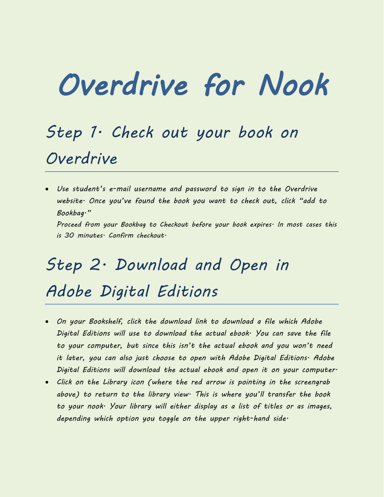# *Overdrive for Nook*

### *Step 1. Check out your book on Overdrive*

 *Use student's e-mail username and password to sign in to the Overdrive website. Once you've found the book you want to check out, click "add to Bookbag." Proceed from your Bookbag to Checkout before your book expires. In most cases this is 30 minutes. Confirm checkout.*

## *Step 2. Download and Open in Adobe Digital Editions*

- *On your Bookshelf, click the download link to download a file which Adobe Digital Editions will use to download the actual ebook. You can save the file to your computer, but since this isn't the actual ebook and you won't need it later, you can also just choose to open with Adobe Digital Editions. Adobe Digital Editions will download the actual ebook and open it on your computer.*
- *Click on the Library icon (where the red arrow is pointing in the screengrab above) to return to the library view. This is where you'll transfer the book to your nook. Your library will either display as a list of titles or as images, depending which option you toggle on the upper right-hand side.*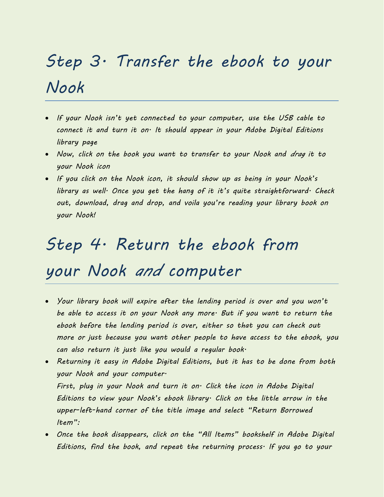# *Step 3. Transfer the ebook to your Nook*

- *If your Nook isn't yet connected to your computer, use the USB cable to connect it and turn it on. It should appear in your Adobe Digital Editions library page*
- *Now, click on the book you want to transfer to your Nook and drag it to your Nook icon*
- *If you click on the Nook icon, it should show up as being in your Nook's library as well. Once you get the hang of it it's quite straightforward. Check out, download, drag and drop, and voila you're reading your library book on your Nook!*

### *Step 4. Return the ebook from*

#### *your Nook and computer*

- *Your library book will expire after the lending period is over and you won't be able to access it on your Nook any more. But if you want to return the ebook before the lending period is over, either so that you can check out more or just because you want other people to have access to the ebook, you can also return it just like you would a regular book.*
- *Returning it easy in Adobe Digital Editions, but it has to be done from both your Nook and your computer. First, plug in your Nook and turn it on. Click the icon in Adobe Digital Editions to view your Nook's ebook library. Click on the little arrow in the upper-left-hand corner of the title image and select "Return Borrowed Item":*
- *Once the book disappears, click on the "All Items" bookshelf in Adobe Digital Editions, find the book, and repeat the returning process. If you go to your*